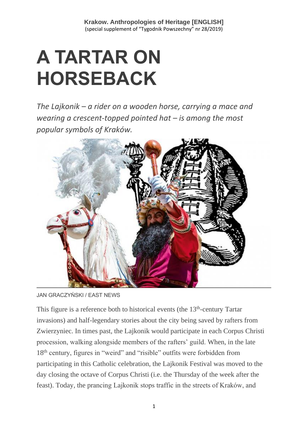## **A TARTAR ON HORSEBACK**

*The Lajkonik – a rider on a wooden horse, carrying a mace and wearing a crescent-topped pointed hat – is among the most popular symbols of Kraków.*



JAN GRACZYŃSKI / EAST NEWS

This figure is a reference both to historical events (the 13<sup>th</sup>-century Tartar invasions) and half-legendary stories about the city being saved by rafters from Zwierzyniec. In times past, the Lajkonik would participate in each Corpus Christi procession, walking alongside members of the rafters' guild. When, in the late 18<sup>th</sup> century, figures in "weird" and "risible" outfits were forbidden from participating in this Catholic celebration, the Lajkonik Festival was moved to the day closing the octave of Corpus Christi (i.e. the Thursday of the week after the feast). Today, the prancing Lajkonik stops traffic in the streets of Kraków, and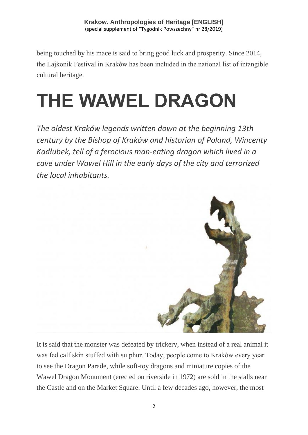being touched by his mace is said to bring good luck and prosperity. Since 2014, the Lajkonik Festival in Kraków has been included in the national list of intangible cultural heritage.

# **THE WAWEL DRAGON**

*The oldest Kraków legends written down at the beginning 13th century by the Bishop of Kraków and historian of Poland, Wincenty Kadłubek, tell of a ferocious man-eating dragon which lived in a cave under Wawel Hill in the early days of the city and terrorized the local inhabitants.*



It is said that the monster was defeated by trickery, when instead of a real animal it was fed calf skin stuffed with sulphur. Today, people come to Kraków every year to see the Dragon Parade, while soft-toy dragons and miniature copies of the Wawel Dragon Monument (erected on riverside in 1972) are sold in the stalls near the Castle and on the Market Square. Until a few decades ago, however, the most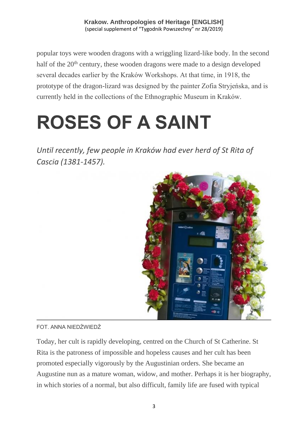popular toys were wooden dragons with a wriggling lizard-like body. In the second half of the 20<sup>th</sup> century, these wooden dragons were made to a design developed several decades earlier by the Kraków Workshops. At that time, in 1918, the prototype of the dragon-lizard was designed by the painter Zofia Stryjeńska, and is currently held in the collections of the Ethnographic Museum in Kraków.

## **ROSES OF A SAINT**

Until recently, few people in Kraków had ever herd of St Rita of *Cascia (1381-1457).*



### FOT. ANNA NIEDŹWIEDŹ

Today, her cult is rapidly developing, centred on the Church of St Catherine. St Rita is the patroness of impossible and hopeless causes and her cult has been promoted especially vigorously by the Augustinian orders. She became an Augustine nun as a mature woman, widow, and mother. Perhaps it is her biography, in which stories of a normal, but also difficult, family life are fused with typical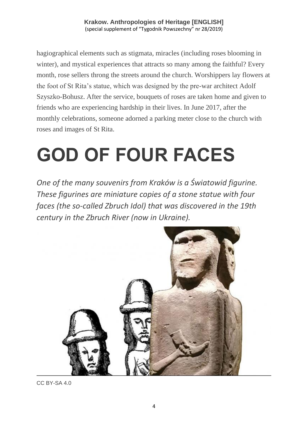hagiographical elements such as stigmata, miracles (including roses blooming in winter), and mystical experiences that attracts so many among the faithful? Every month, rose sellers throng the streets around the church. Worshippers lay flowers at the foot of St Rita's statue, which was designed by the pre-war architect Adolf Szyszko-Bohusz. After the service, bouquets of roses are taken home and given to friends who are experiencing hardship in their lives. In June 2017, after the monthly celebrations, someone adorned a parking meter close to the church with roses and images of St Rita.

# **GOD OF FOUR FACES**

*One of the many souvenirs from Kraków is a Światowid figurine. These figurines are miniature copies of a stone statue with four faces (the so-called Zbruch Idol) that was discovered in the 19th century in the Zbruch River (now in Ukraine).*



CC BY-SA 4.0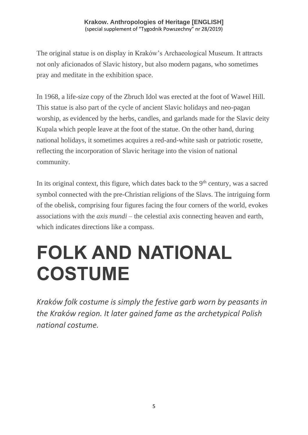The original statue is on display in Kraków's Archaeological Museum. It attracts not only aficionados of Slavic history, but also modern pagans, who sometimes pray and meditate in the exhibition space.

In 1968, a life-size copy of the Zbruch Idol was erected at the foot of Wawel Hill. This statue is also part of the cycle of ancient Slavic holidays and neo-pagan worship, as evidenced by the herbs, candles, and garlands made for the Slavic deity Kupala which people leave at the foot of the statue. On the other hand, during national holidays, it sometimes acquires a red-and-white sash or patriotic rosette, reflecting the incorporation of Slavic heritage into the vision of national community.

In its original context, this figure, which dates back to the  $9<sup>th</sup>$  century, was a sacred symbol connected with the pre-Christian religions of the Slavs. The intriguing form of the obelisk, comprising four figures facing the four corners of the world, evokes associations with the *axis mundi* – the celestial axis connecting heaven and earth, which indicates directions like a compass.

## **FOLK AND NATIONAL COSTUME**

*Kraków folk costume is simply the festive garb worn by peasants in the Kraków region. It later gained fame as the archetypical Polish national costume.*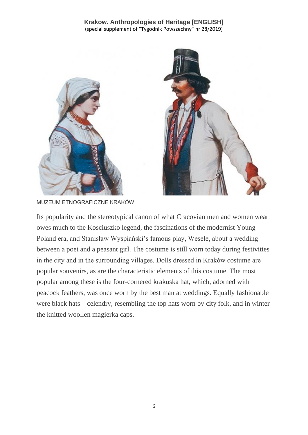



MUZEUM ETNOGRAFICZNE KRAKÓW

Its popularity and the stereotypical canon of what Cracovian men and women wear owes much to the Kosciuszko legend, the fascinations of the modernist Young Poland era, and Stanisław Wyspiański's famous play, Wesele, about a wedding between a poet and a peasant girl. The costume is still worn today during festivities in the city and in the surrounding villages. Dolls dressed in Kraków costume are popular souvenirs, as are the characteristic elements of this costume. The most popular among these is the four-cornered krakuska hat, which, adorned with peacock feathers, was once worn by the best man at weddings. Equally fashionable were black hats – celendry, resembling the top hats worn by city folk, and in winter the knitted woollen magierka caps.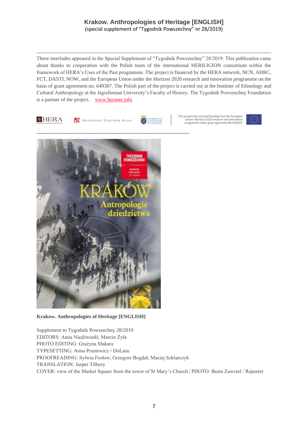These interludes appeared in the Special Supplement of "Tygodnik Powszechny" 28/2019. This publication came about thanks to cooperation with the Polish team of the international HERILIGION consortium within the framework of HERA's Uses of the Past programme. The project is financed by the HERA network, NCN, AHRC, FCT, DASTI, NOW, and the European Union under the Horizon 2020 research and innovation programme on the basis of grant agreement no. 649307. The Polish part of the project is carried out at the Institute of Ethnology and Cultural Anthropology at the Jagiellonian University's Faculty of History. The Tygodnik Powszechny Foundation is a partner of the project. [www.heranet.info](http://www.heranet.info/)



**Krakow. Anthropologies of Heritage [ENGLISH]**

Supplement to Tygodnik Powszechny 28/2019 EDITORS: Anna Niedźwiedź, Marcin Żyła PHOTO EDITING: Grażyna Makara TYPESETTING: Anna Prusiewicz / DoLasu PROOFREADING: Sylwia Frołow, Grzegorz Bogdał, Maciej Szklarczyk TRANSLATION: Jasper Tilbury COVER: view of the Market Square from the tower of St Mary's Church | PHOTO: Beata Zawrzel / Reporter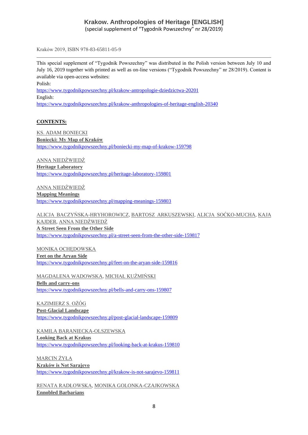Kraków 2019, ISBN 978-83-65811-05-9

This special supplement of "Tygodnik Powszechny" was distributed in the Polish version between July 10 and July 16, 2019 together with printed as well as on-line versions ("Tygodnik Powszechny" nr 28/2019). Content is available via open-access websites:

Polish:

<https://www.tygodnikpowszechny.pl/krakow-antropologie-dziedzictwa-20201> English: <https://www.tygodnikpowszechny.pl/krakow-anthropologies-of-heritage-english-20340>

#### **CONTENTS:**

[KS. ADAM BONIECKI](https://www.tygodnikpowszechny.pl/autor/ks-adam-boniecki-52) **[Boniecki: My Map of Kraków](https://www.tygodnikpowszechny.pl/boniecki-my-map-of-krakow-159798)** <https://www.tygodnikpowszechny.pl/boniecki-my-map-of-krakow-159798>

[ANNA NIEDŹWIEDŹ](https://www.tygodnikpowszechny.pl/autor/anna-niedzwiedz-1163) **[Heritage Laboratory](https://www.tygodnikpowszechny.pl/heritage-laboratory-159801)** <https://www.tygodnikpowszechny.pl/heritage-laboratory-159801>

[ANNA NIEDŹWIEDŹ](https://www.tygodnikpowszechny.pl/autor/anna-niedzwiedz-1163) **[Mapping Meanings](https://www.tygodnikpowszechny.pl/mapping-meanings-159803)** <https://www.tygodnikpowszechny.pl/mapping-meanings-159803>

[ALICJA BACZYŃSKA-HRYHOROWICZ,](https://www.tygodnikpowszechny.pl/autor/alicja-baczynska-hryhorowicz-20191) [BARTOSZ ARKUSZEWSKI,](https://www.tygodnikpowszechny.pl/autor/bartosz-arkuszewski-20192) [ALICJA SOĆKO-MUCHA,](https://www.tygodnikpowszechny.pl/autor/alicja-socko-mucha-20193) [KAJA](https://www.tygodnikpowszechny.pl/autor/kaja-kajder-20194)  [KAJDER,](https://www.tygodnikpowszechny.pl/autor/kaja-kajder-20194) [ANNA NIEDŹWIEDŹ](https://www.tygodnikpowszechny.pl/autor/anna-niedzwiedz-1163) **[A Street Seen From the Other Side](https://www.tygodnikpowszechny.pl/a-street-seen-from-the-other-side-159817)** <https://www.tygodnikpowszechny.pl/a-street-seen-from-the-other-side-159817>

[MONIKA OCHĘDOWSKA](https://www.tygodnikpowszechny.pl/autor/monika-ochedowska-16005) **[Feet on the Aryan Side](https://www.tygodnikpowszechny.pl/feet-on-the-aryan-side-159816)** <https://www.tygodnikpowszechny.pl/feet-on-the-aryan-side-159816>

[MAGDALENA WADOWSKA,](https://www.tygodnikpowszechny.pl/autor/magdalena-wadowska-20195) [MICHAŁ KUŹMIŃSKI](https://www.tygodnikpowszechny.pl/autor/michal-kuzminski-109) **[Bells and carry-ons](https://www.tygodnikpowszechny.pl/bells-and-carry-ons-159807)** <https://www.tygodnikpowszechny.pl/bells-and-carry-ons-159807>

[KAZIMIERZ S. OŻÓG](https://www.tygodnikpowszechny.pl/autor/kazimierz-s-ozog-20196) **[Post-Glacial Landscape](https://www.tygodnikpowszechny.pl/post-glacial-landscape-159809)** <https://www.tygodnikpowszechny.pl/post-glacial-landscape-159809>

[KAMILA BARANIECKA-OLSZEWSKA](https://www.tygodnikpowszechny.pl/autor/kamila-baraniecka-olszewska-20197) **[Looking Back at Krakus](https://www.tygodnikpowszechny.pl/looking-back-at-krakus-159810)** <https://www.tygodnikpowszechny.pl/looking-back-at-krakus-159810>

[MARCIN ŻYŁA](https://www.tygodnikpowszechny.pl/autor/marcin-zyla-59) **[Kraków is Not Sarajevo](https://www.tygodnikpowszechny.pl/krakow-is-not-sarajevo-159811)** <https://www.tygodnikpowszechny.pl/krakow-is-not-sarajevo-159811>

[RENATA RADŁOWSKA,](https://www.tygodnikpowszechny.pl/autor/renata-radlowska-20199) [MONIKA GOLONKA-CZAJKOWSKA](https://www.tygodnikpowszechny.pl/autor/monika-golonka-czajkowska-20198) **[Ennobled Barbarians](https://www.tygodnikpowszechny.pl/ennobled-barbarians-159812)**